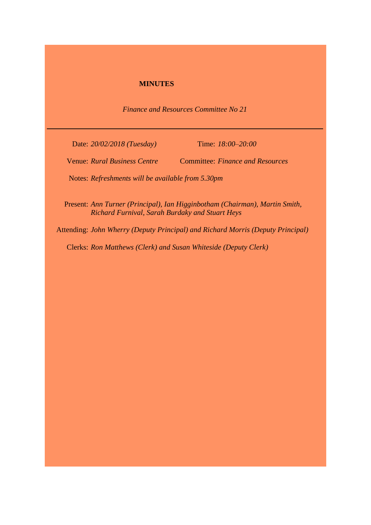## **MINUTES**

*Finance and Resources Committee No 21*

Date: *20/02/2018 (Tuesday)* Time: *18:00–20:00*

Venue: *Rural Business Centre* Committee: *Finance and Resources*

Notes: *Refreshments will be available from 5.30pm*

Present: *Ann Turner (Principal), Ian Higginbotham (Chairman), Martin Smith, Richard Furnival, Sarah Burdaky and Stuart Heys*

Attending: *John Wherry (Deputy Principal) and Richard Morris (Deputy Principal)*

Clerks: *Ron Matthews (Clerk) and Susan Whiteside (Deputy Clerk)*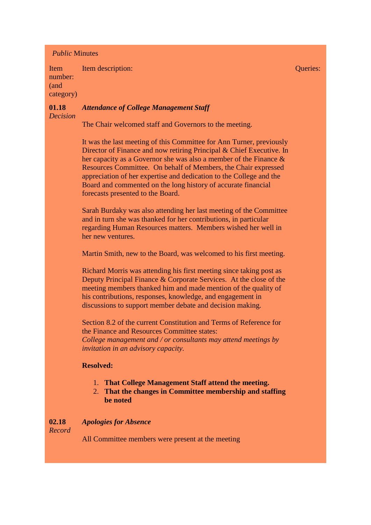## *Public* Minutes

Item number: (and category) Item description: Queries:

### **01.18** *Decision Attendance of College Management Staff*

The Chair welcomed staff and Governors to the meeting.

It was the last meeting of this Committee for Ann Turner, previously Director of Finance and now retiring Principal & Chief Executive. In her capacity as a Governor she was also a member of the Finance & Resources Committee. On behalf of Members, the Chair expressed appreciation of her expertise and dedication to the College and the Board and commented on the long history of accurate financial forecasts presented to the Board.

Sarah Burdaky was also attending her last meeting of the Committee and in turn she was thanked for her contributions, in particular regarding Human Resources matters. Members wished her well in her new ventures.

Martin Smith, new to the Board, was welcomed to his first meeting.

Richard Morris was attending his first meeting since taking post as Deputy Principal Finance & Corporate Services. At the close of the meeting members thanked him and made mention of the quality of his contributions, responses, knowledge, and engagement in discussions to support member debate and decision making.

Section 8.2 of the current Constitution and Terms of Reference for the Finance and Resources Committee states: *College management and / or consultants may attend meetings by invitation in an advisory capacity.*

# **Resolved:**

- 1. **That College Management Staff attend the meeting.**
- 2. **That the changes in Committee membership and staffing be noted**

#### **02.18** *Apologies for Absence*

*Record*

All Committee members were present at the meeting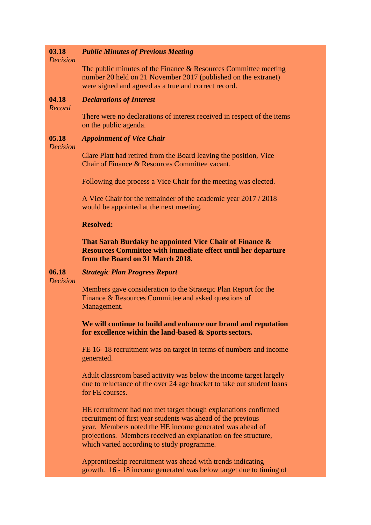#### **03.18** *Public Minutes of Previous Meeting*

## *Decision*

The public minutes of the Finance & Resources Committee meeting number 20 held on 21 November 2017 (published on the extranet) were signed and agreed as a true and correct record.

#### **04.18** *Declarations of Interest*

*Record*

There were no declarations of interest received in respect of the items on the public agenda.

#### **05.18** *Appointment of Vice Chair*

### *Decision*

Clare Platt had retired from the Board leaving the position, Vice Chair of Finance & Resources Committee vacant.

Following due process a Vice Chair for the meeting was elected.

A Vice Chair for the remainder of the academic year 2017 / 2018 would be appointed at the next meeting.

## **Resolved:**

**That Sarah Burdaky be appointed Vice Chair of Finance & Resources Committee with immediate effect until her departure from the Board on 31 March 2018.**

#### **06.18** *Strategic Plan Progress Report*

*Decision*

Members gave consideration to the Strategic Plan Report for the Finance & Resources Committee and asked questions of Management.

# **We will continue to build and enhance our brand and reputation for excellence within the land-based & Sports sectors.**

FE 16- 18 recruitment was on target in terms of numbers and income generated.

Adult classroom based activity was below the income target largely due to reluctance of the over 24 age bracket to take out student loans for FE courses.

HE recruitment had not met target though explanations confirmed recruitment of first year students was ahead of the previous year. Members noted the HE income generated was ahead of projections. Members received an explanation on fee structure, which varied according to study programme.

Apprenticeship recruitment was ahead with trends indicating growth. 16 - 18 income generated was below target due to timing of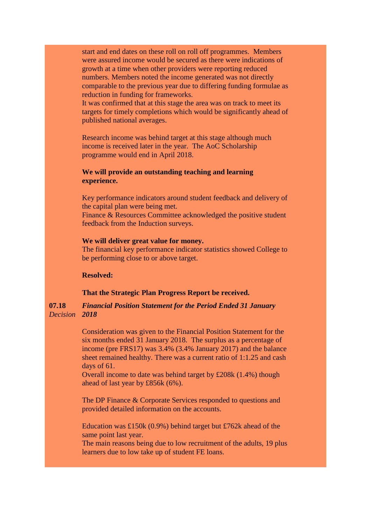start and end dates on these roll on roll off programmes. Members were assured income would be secured as there were indications of growth at a time when other providers were reporting reduced numbers. Members noted the income generated was not directly comparable to the previous year due to differing funding formulae as reduction in funding for frameworks.

It was confirmed that at this stage the area was on track to meet its targets for timely completions which would be significantly ahead of published national averages.

Research income was behind target at this stage although much income is received later in the year. The AoC Scholarship programme would end in April 2018.

# **We will provide an outstanding teaching and learning experience.**

Key performance indicators around student feedback and delivery of the capital plan were being met.

Finance & Resources Committee acknowledged the positive student feedback from the Induction surveys.

## **We will deliver great value for money.**

The financial key performance indicator statistics showed College to be performing close to or above target.

## **Resolved:**

## **That the Strategic Plan Progress Report be received.**

### **07.18** *Decision 2018 Financial Position Statement for the Period Ended 31 January*

Consideration was given to the Financial Position Statement for the six months ended 31 January 2018. The surplus as a percentage of income (pre FRS17) was 3.4% (3.4% January 2017) and the balance sheet remained healthy. There was a current ratio of 1:1.25 and cash days of 61.

Overall income to date was behind target by £208k (1.4%) though ahead of last year by £856k (6%).

The DP Finance & Corporate Services responded to questions and provided detailed information on the accounts.

Education was £150k (0.9%) behind target but £762k ahead of the same point last year.

The main reasons being due to low recruitment of the adults, 19 plus learners due to low take up of student FE loans.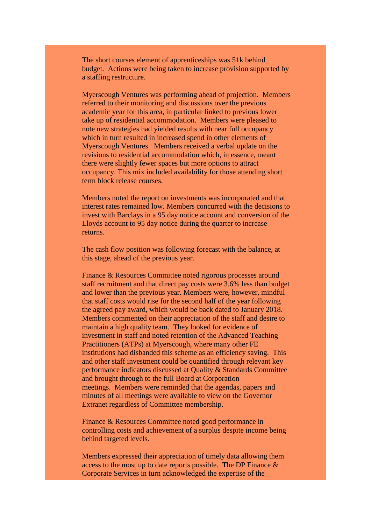The short courses element of apprenticeships was 51k behind budget. Actions were being taken to increase provision supported by a staffing restructure.

Myerscough Ventures was performing ahead of projection. Members referred to their monitoring and discussions over the previous academic year for this area, in particular linked to previous lower take up of residential accommodation. Members were pleased to note new strategies had yielded results with near full occupancy which in turn resulted in increased spend in other elements of Myerscough Ventures. Members received a verbal update on the revisions to residential accommodation which, in essence, meant there were slightly fewer spaces but more options to attract occupancy. This mix included availability for those attending short term block release courses.

Members noted the report on investments was incorporated and that interest rates remained low. Members concurred with the decisions to invest with Barclays in a 95 day notice account and conversion of the Lloyds account to 95 day notice during the quarter to increase returns.

The cash flow position was following forecast with the balance, at this stage, ahead of the previous year.

Finance & Resources Committee noted rigorous processes around staff recruitment and that direct pay costs were 3.6% less than budget and lower than the previous year. Members were, however, mindful that staff costs would rise for the second half of the year following the agreed pay award, which would be back dated to January 2018. Members commented on their appreciation of the staff and desire to maintain a high quality team. They looked for evidence of investment in staff and noted retention of the Advanced Teaching Practitioners (ATPs) at Myerscough, where many other FE institutions had disbanded this scheme as an efficiency saving. This and other staff investment could be quantified through relevant key performance indicators discussed at Quality & Standards Committee and brought through to the full Board at Corporation meetings. Members were reminded that the agendas, papers and minutes of all meetings were available to view on the Governor Extranet regardless of Committee membership.

Finance & Resources Committee noted good performance in controlling costs and achievement of a surplus despite income being behind targeted levels.

Members expressed their appreciation of timely data allowing them access to the most up to date reports possible. The DP Finance & Corporate Services in turn acknowledged the expertise of the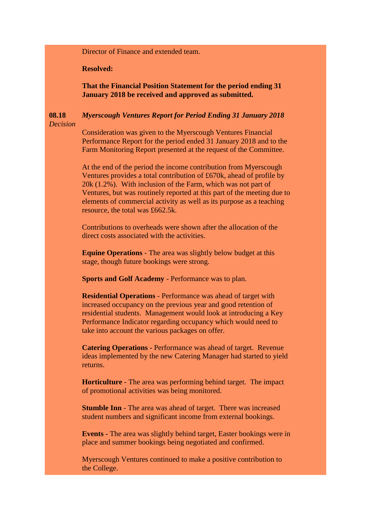Director of Finance and extended team.

**Resolved:**

**That the Financial Position Statement for the period ending 31 January 2018 be received and approved as submitted.**

### **08.18** *Decision Myerscough Ventures Report for Period Ending 31 January 2018*

Consideration was given to the Myerscough Ventures Financial Performance Report for the period ended 31 January 2018 and to the Farm Monitoring Report presented at the request of the Committee.

At the end of the period the income contribution from Myerscough Ventures provides a total contribution of £670k, ahead of profile by 20k (1.2%). With inclusion of the Farm, which was not part of Ventures, but was routinely reported at this part of the meeting due to elements of commercial activity as well as its purpose as a teaching resource, the total was £662.5k.

Contributions to overheads were shown after the allocation of the direct costs associated with the activities.

**Equine Operations** - The area was slightly below budget at this stage, though future bookings were strong.

**Sports and Golf Academy** - Performance was to plan.

**Residential Operations** - Performance was ahead of target with increased occupancy on the previous year and good retention of residential students. Management would look at introducing a Key Performance Indicator regarding occupancy which would need to take into account the various packages on offer.

**Catering Operations -** Performance was ahead of target. Revenue ideas implemented by the new Catering Manager had started to yield returns.

**Horticulture** - The area was performing behind target. The impact of promotional activities was being monitored.

**Stumble Inn** - The area was ahead of target. There was increased student numbers and significant income from external bookings.

**Events -** The area was slightly behind target, Easter bookings were in place and summer bookings being negotiated and confirmed.

Myerscough Ventures continued to make a positive contribution to the College.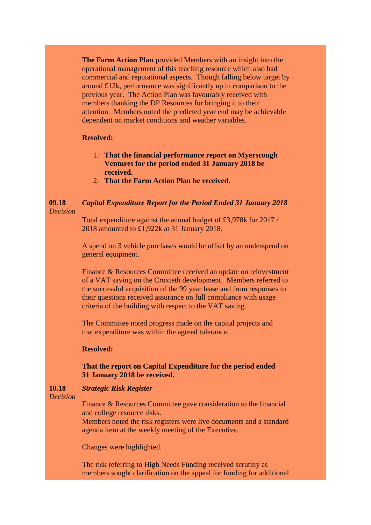**The Farm Action Plan** provided Members with an insight into the operational management of this teaching resource which also had commercial and reputational aspects. Though falling below target by around £12k, performance was significantly up in comparison to the previous year. The Action Plan was favourably received with members thanking the DP Resources for bringing it to their attention. Members noted the predicted year end may be achievable dependent on market conditions and weather variables.

## **Resolved:**

- 1. **That the financial performance report on Myerscough Ventures for the period ended 31 January 2018 be received.**
- 2. **That the Farm Action Plan be received.**

### **09.18** *Decision Capital Expenditure Report for the Period Ended 31 January 2018*

Total expenditure against the annual budget of £3,978k for 2017 / 2018 amounted to £1,922k at 31 January 2018.

A spend on 3 vehicle purchases would be offset by an underspend on general equipment.

Finance & Resources Committee received an update on reinvestment of a VAT saving on the Croxteth development. Members referred to the successful acquisition of the 99 year lease and from responses to their questions received assurance on full compliance with usage criteria of the building with respect to the VAT saving.

The Committee noted progress made on the capital projects and that expenditure was within the agreed tolerance.

## **Resolved:**

# **That the report on Capital Expenditure for the period ended 31 January 2018 be received.**

#### **10.18** *Strategic Risk Register*

*Decision*

Finance & Resources Committee gave consideration to the financial and college resource risks. Members noted the risk registers were live documents and a standard agenda item at the weekly meeting of the Executive.

Changes were highlighted.

The risk referring to High Needs Funding received scrutiny as members sought clarification on the appeal for funding for additional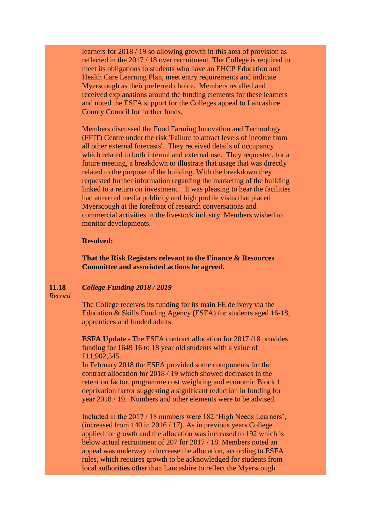learners for 2018 / 19 so allowing growth in this area of provision as reflected in the 2017 / 18 over recruitment. The College is required to meet its obligations to students who have an EHCP Education and Health Care Learning Plan, meet entry requirements and indicate Myerscough as their preferred choice. Members recalled and received explanations around the funding elements for these learners and noted the ESFA support for the Colleges appeal to Lancashire County Council for further funds.

Members discussed the Food Farming Innovation and Technology (FFIT) Centre under the risk 'Failure to attract levels of income from all other external forecasts'. They received details of occupancy which related to both internal and external use. They requested, for a future meeting, a breakdown to illustrate that usage that was directly related to the purpose of the building. With the breakdown they requested further information regarding the marketing of the building linked to a return on investment. It was pleasing to hear the facilities had attracted media publicity and high profile visits that placed Myerscough at the forefront of research conversations and commercial activities in the livestock industry. Members wished to monitor developments.

### **Resolved:**

**That the Risk Registers relevant to the Finance & Resources Committee and associated actions be agreed.**

#### **11.18** *College Funding 2018 / 2019*

*Record*

The College receives its funding for its main FE delivery via the Education & Skills Funding Agency (ESFA) for students aged 16-18, apprentices and funded adults.

**ESFA Update** - The ESFA contract allocation for 2017 /18 provides funding for 1649 16 to 18 year old students with a value of £11,902,545.

In February 2018 the ESFA provided some components for the contract allocation for 2018 / 19 which showed decreases in the retention factor, programme cost weighting and economic Block 1 deprivation factor suggesting a significant reduction in funding for year 2018 / 19. Numbers and other elements were to be advised.

Included in the 2017 / 18 numbers were 182 'High Needs Learners', (increased from 140 in 2016 / 17). As in previous years College applied for growth and the allocation was increased to 192 which is below actual recruitment of 207 for 2017 / 18. Members noted an appeal was underway to increase the allocation, according to ESFA rules, which requires growth to be acknowledged for students from local authorities other than Lancashire to reflect the Myerscough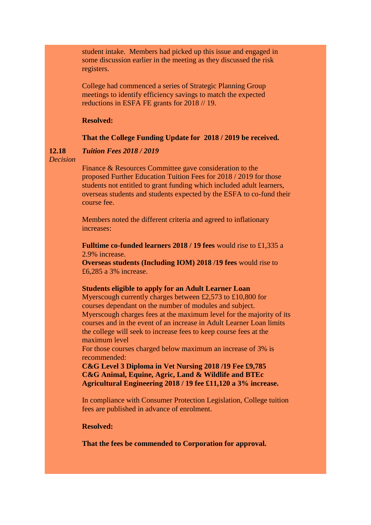student intake. Members had picked up this issue and engaged in some discussion earlier in the meeting as they discussed the risk registers.

College had commenced a series of Strategic Planning Group meetings to identify efficiency savings to match the expected reductions in ESFA FE grants for 2018 // 19.

# **Resolved:**

### **That the College Funding Update for 2018 / 2019 be received.**

#### **12.18** *Tuition Fees 2018 / 2019*

*Decision*

Finance & Resources Committee gave consideration to the proposed Further Education Tuition Fees for 2018 / 2019 for those students not entitled to grant funding which included adult learners, overseas students and students expected by the ESFA to co-fund their course fee.

Members noted the different criteria and agreed to inflationary increases:

**Fulltime co-funded learners 2018 / 19 fees** would rise to £1,335 a 2.9% increase.

**Overseas students (Including IOM) 2018 /19 fees** would rise to £6,285 a 3% increase.

### **Students eligible to apply for an Adult Learner Loan**

Myerscough currently charges between £2,573 to £10,800 for courses dependant on the number of modules and subject. Myerscough charges fees at the maximum level for the majority of its courses and in the event of an increase in Adult Learner Loan limits the college will seek to increase fees to keep course fees at the maximum level

For those courses charged below maximum an increase of 3% is recommended:

**C&G Level 3 Diploma in Vet Nursing 2018 /19 Fee £9,785 C&G Animal, Equine, Agric, Land & Wildlife and BTEc Agricultural Engineering 2018 / 19 fee £11,120 a 3% increase.**

In compliance with Consumer Protection Legislation, College tuition fees are published in advance of enrolment.

**Resolved:** 

**That the fees be commended to Corporation for approval.**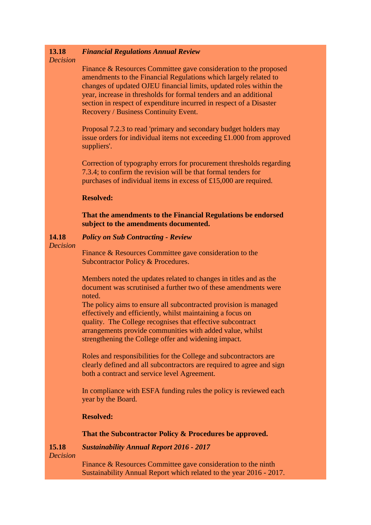#### **13.18** *Financial Regulations Annual Review*

# *Decision*

Finance & Resources Committee gave consideration to the proposed amendments to the Financial Regulations which largely related to changes of updated OJEU financial limits, updated roles within the year, increase in thresholds for formal tenders and an additional section in respect of expenditure incurred in respect of a Disaster Recovery / Business Continuity Event.

Proposal 7.2.3 to read 'primary and secondary budget holders may issue orders for individual items not exceeding £1.000 from approved suppliers'.

Correction of typography errors for procurement thresholds regarding 7.3.4; to confirm the revision will be that formal tenders for purchases of individual items in excess of £15,000 are required.

## **Resolved:**

**That the amendments to the Financial Regulations be endorsed subject to the amendments documented.**

#### **14.18** *Policy on Sub Contracting - Review*

## *Decision*

Finance & Resources Committee gave consideration to the Subcontractor Policy & Procedures.

Members noted the updates related to changes in titles and as the document was scrutinised a further two of these amendments were noted.

The policy aims to ensure all subcontracted provision is managed effectively and efficiently, whilst maintaining a focus on quality. The College recognises that effective subcontract arrangements provide communities with added value, whilst strengthening the College offer and widening impact.

Roles and responsibilities for the College and subcontractors are clearly defined and all subcontractors are required to agree and sign both a contract and service level Agreement.

In compliance with ESFA funding rules the policy is reviewed each year by the Board.

# **Resolved:**

## **That the Subcontractor Policy & Procedures be approved.**

#### **15.18** *Sustainability Annual Report 2016 - 2017*

*Decision*

Finance & Resources Committee gave consideration to the ninth Sustainability Annual Report which related to the year 2016 - 2017.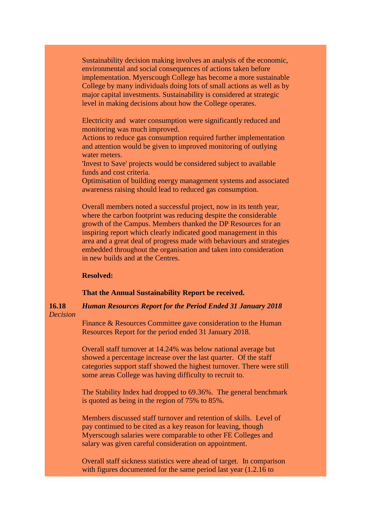Sustainability decision making involves an analysis of the economic, environmental and social consequences of actions taken before implementation. Myerscough College has become a more sustainable College by many individuals doing lots of small actions as well as by major capital investments. Sustainability is considered at strategic level in making decisions about how the College operates.

Electricity and water consumption were significantly reduced and monitoring was much improved.

Actions to reduce gas consumption required further implementation and attention would be given to improved monitoring of outlying water meters.

'Invest to Save' projects would be considered subject to available funds and cost criteria.

Optimisation of building energy management systems and associated awareness raising should lead to reduced gas consumption.

Overall members noted a successful project, now in its tenth year, where the carbon footprint was reducing despite the considerable growth of the Campus. Members thanked the DP Resources for an inspiring report which clearly indicated good management in this area and a great deal of progress made with behaviours and strategies embedded throughout the organisation and taken into consideration in new builds and at the Centres.

## **Resolved:**

## **That the Annual Sustainability Report be received.**

### **16.18** *Decision Human Resources Report for the Period Ended 31 January 2018*

Finance & Resources Committee gave consideration to the Human Resources Report for the period ended 31 January 2018.

Overall staff turnover at 14.24% was below national average but showed a percentage increase over the last quarter. Of the staff categories support staff showed the highest turnover. There were still some areas College was having difficulty to recruit to.

The Stability Index had dropped to 69.36%. The general benchmark is quoted as being in the region of 75% to 85%.

Members discussed staff turnover and retention of skills. Level of pay continued to be cited as a key reason for leaving, though Myerscough salaries were comparable to other FE Colleges and salary was given careful consideration on appointment.

Overall staff sickness statistics were ahead of target. In comparison with figures documented for the same period last year (1.2.16 to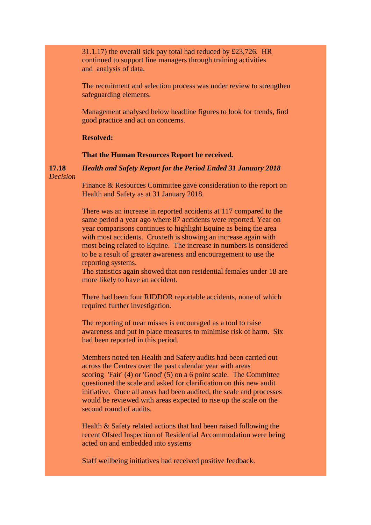31.1.17) the overall sick pay total had reduced by £23,726. HR continued to support line managers through training activities and analysis of data.

The recruitment and selection process was under review to strengthen safeguarding elements.

Management analysed below headline figures to look for trends, find good practice and act on concerns.

**Resolved:**

## **That the Human Resources Report be received.**

**17.18** *Decision Health and Safety Report for the Period Ended 31 January 2018*

> Finance & Resources Committee gave consideration to the report on Health and Safety as at 31 January 2018.

> There was an increase in reported accidents at 117 compared to the same period a year ago where 87 accidents were reported. Year on year comparisons continues to highlight Equine as being the area with most accidents. Croxteth is showing an increase again with most being related to Equine. The increase in numbers is considered to be a result of greater awareness and encouragement to use the reporting systems.

> The statistics again showed that non residential females under 18 are more likely to have an accident.

There had been four RIDDOR reportable accidents, none of which required further investigation.

The reporting of near misses is encouraged as a tool to raise awareness and put in place measures to minimise risk of harm. Six had been reported in this period.

Members noted ten Health and Safety audits had been carried out across the Centres over the past calendar year with areas scoring 'Fair' (4) or 'Good'  $(5)$  on a 6 point scale. The Committee questioned the scale and asked for clarification on this new audit initiative. Once all areas had been audited, the scale and processes would be reviewed with areas expected to rise up the scale on the second round of audits.

Health & Safety related actions that had been raised following the recent Ofsted Inspection of Residential Accommodation were being acted on and embedded into systems

Staff wellbeing initiatives had received positive feedback.